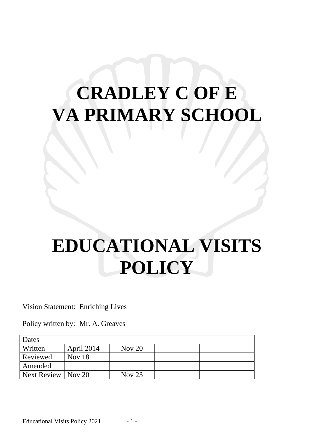# **CRADLEY C OF E VA PRIMARY SCHOOL**

# **EDUCATIONAL VISITS POLICY**

Vision Statement: Enriching Lives

Policy written by: Mr. A. Greaves

| Dates       |               |          |  |
|-------------|---------------|----------|--|
| Written     | April 2014    | Nov $20$ |  |
| Reviewed    | <b>Nov</b> 18 |          |  |
| Amended     |               |          |  |
| Next Review | Nov $20$      | Nov $23$ |  |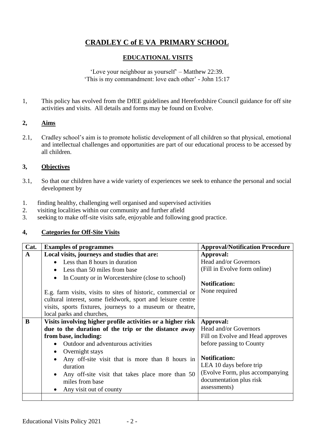# **CRADLEY C of E VA PRIMARY SCHOOL**

# **EDUCATIONAL VISITS**

'Love your neighbour as yourself' – Matthew 22:39. 'This is my commandment: love each other' - John 15:17

1, This policy has evolved from the DfEE guidelines and Herefordshire Council guidance for off site activities and visits. All details and forms may be found on Evolve.

# **2, Aims**

2.1, Cradley school's aim is to promote holistic development of all children so that physical, emotional and intellectual challenges and opportunities are part of our educational process to be accessed by all children.

# **3, Objectives**

- 3.1, So that our children have a wide variety of experiences we seek to enhance the personal and social development by
- 1. finding healthy, challenging well organised and supervised activities
- 2. visiting localities within our community and further afield<br>3 seeking to make off-site visits safe enjoyable and following
- seeking to make off-site visits safe, enjoyable and following good practice.

## **4, Categories for Off-Site Visits**

| Cat.                                                 | <b>Examples of programmes</b>                                | <b>Approval/Notification Procedure</b> |
|------------------------------------------------------|--------------------------------------------------------------|----------------------------------------|
| $\mathbf{A}$                                         | Local visits, journeys and studies that are:                 | Approval:                              |
|                                                      | • Less than 8 hours in duration                              | Head and/or Governors                  |
|                                                      | • Less than 50 miles from base                               | (Fill in Evolve form online)           |
|                                                      | In County or in Worcestershire (close to school)             |                                        |
|                                                      |                                                              | <b>Notification:</b>                   |
|                                                      | E.g. farm visits, visits to sites of historic, commercial or | None required                          |
|                                                      | cultural interest, some fieldwork, sport and leisure centre  |                                        |
|                                                      | visits, sports fixtures, journeys to a museum or theatre,    |                                        |
|                                                      | local parks and churches,                                    |                                        |
| B                                                    | Visits involving higher profile activities or a higher risk  | Approval:                              |
| due to the duration of the trip or the distance away |                                                              | Head and/or Governors                  |
|                                                      | from base, including:                                        | Fill on Evolve and Head approves       |
|                                                      | Outdoor and adventurous activities                           | before passing to County               |
|                                                      | • Overnight stays                                            |                                        |
|                                                      | Any off-site visit that is more than 8 hours in              | <b>Notification:</b>                   |
|                                                      | duration                                                     | LEA 10 days before trip                |
|                                                      | Any off-site visit that takes place more than 50             | (Evolve Form, plus accompanying)       |
|                                                      | miles from base                                              | documentation plus risk                |
|                                                      | Any visit out of county                                      | assessments)                           |
|                                                      |                                                              |                                        |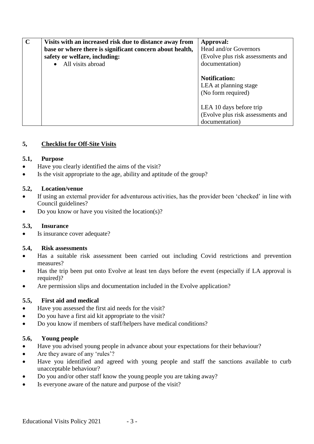| $\mathbf C$ | Visits with an increased risk due to distance away from<br>base or where there is significant concern about health,<br>safety or welfare, including: | Approval:<br>Head and/or Governors<br>(Evolve plus risk assessments and               |
|-------------|------------------------------------------------------------------------------------------------------------------------------------------------------|---------------------------------------------------------------------------------------|
|             | • All visits abroad                                                                                                                                  | documentation)<br><b>Notification:</b><br>LEA at planning stage<br>(No form required) |
|             |                                                                                                                                                      | LEA 10 days before trip<br>(Evolve plus risk assessments and<br>documentation)        |

## **5, Checklist for Off-Site Visits**

## **5.1, Purpose**

- Have you clearly identified the aims of the visit?
- Is the visit appropriate to the age, ability and aptitude of the group?

## **5.2, Location/venue**

- If using an external provider for adventurous activities, has the provider been 'checked' in line with Council guidelines?
- Do you know or have you visited the location(s)?

## **5.3, Insurance**

Is insurance cover adequate?

## **5.4, Risk assessments**

- Has a suitable risk assessment been carried out including Covid restrictions and prevention measures?
- Has the trip been put onto Evolve at least ten days before the event (especially if LA approval is required)?
- Are permission slips and documentation included in the Evolve application?

# **5.5, First aid and medical**

- Have you assessed the first aid needs for the visit?
- Do you have a first aid kit appropriate to the visit?
- Do you know if members of staff/helpers have medical conditions?

# **5.6, Young people**

- Have you advised young people in advance about your expectations for their behaviour?
- Are they aware of any 'rules'?
- Have you identified and agreed with young people and staff the sanctions available to curb unacceptable behaviour?
- Do you and/or other staff know the young people you are taking away?
- Is everyone aware of the nature and purpose of the visit?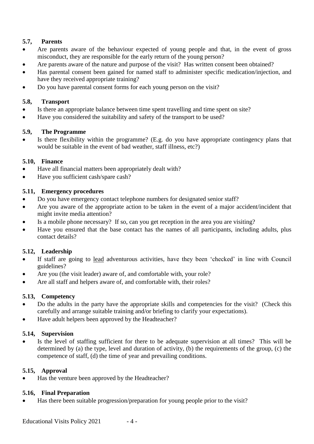# **5.7, Parents**

- Are parents aware of the behaviour expected of young people and that, in the event of gross misconduct, they are responsible for the early return of the young person?
- Are parents aware of the nature and purpose of the visit? Has written consent been obtained?
- Has parental consent been gained for named staff to administer specific medication/injection, and have they received appropriate training?
- Do you have parental consent forms for each young person on the visit?

# **5.8, Transport**

- Is there an appropriate balance between time spent travelling and time spent on site?
- Have you considered the suitability and safety of the transport to be used?

# **5.9, The Programme**

 Is there flexibility within the programme? (E.g. do you have appropriate contingency plans that would be suitable in the event of bad weather, staff illness, etc?)

# **5.10, Finance**

- Have all financial matters been appropriately dealt with?
- Have you sufficient cash/spare cash?

# **5.11, Emergency procedures**

- Do you have emergency contact telephone numbers for designated senior staff?
- Are you aware of the appropriate action to be taken in the event of a major accident/incident that might invite media attention?
- Is a mobile phone necessary? If so, can you get reception in the area you are visiting?
- Have you ensured that the base contact has the names of all participants, including adults, plus contact details?

# **5.12, Leadership**

- If staff are going to lead adventurous activities, have they been 'checked' in line with Council guidelines?
- Are you (the visit leader) aware of, and comfortable with, your role?
- Are all staff and helpers aware of, and comfortable with, their roles?

## **5.13, Competency**

- Do the adults in the party have the appropriate skills and competencies for the visit? (Check this carefully and arrange suitable training and/or briefing to clarify your expectations).
- Have adult helpers been approved by the Headteacher?

## **5.14, Supervision**

 Is the level of staffing sufficient for there to be adequate supervision at all times? This will be determined by (a) the type, level and duration of activity, (b) the requirements of the group, (c) the competence of staff, (d) the time of year and prevailing conditions.

## **5.15, Approval**

Has the venture been approved by the Headteacher?

## **5.16, Final Preparation**

Has there been suitable progression/preparation for young people prior to the visit?